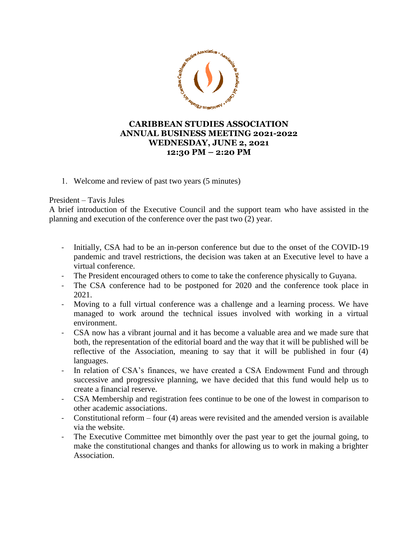

## **CARIBBEAN STUDIES ASSOCIATION ANNUAL BUSINESS MEETING 2021-2022 WEDNESDAY, JUNE 2, 2021 12:30 PM – 2:20 PM**

1. Welcome and review of past two years (5 minutes)

President – Tavis Jules

A brief introduction of the Executive Council and the support team who have assisted in the planning and execution of the conference over the past two (2) year.

- Initially, CSA had to be an in-person conference but due to the onset of the COVID-19 pandemic and travel restrictions, the decision was taken at an Executive level to have a virtual conference.
- The President encouraged others to come to take the conference physically to Guyana.
- The CSA conference had to be postponed for 2020 and the conference took place in 2021.
- Moving to a full virtual conference was a challenge and a learning process. We have managed to work around the technical issues involved with working in a virtual environment.
- CSA now has a vibrant journal and it has become a valuable area and we made sure that both, the representation of the editorial board and the way that it will be published will be reflective of the Association, meaning to say that it will be published in four (4) languages.
- In relation of CSA's finances, we have created a CSA Endowment Fund and through successive and progressive planning, we have decided that this fund would help us to create a financial reserve.
- CSA Membership and registration fees continue to be one of the lowest in comparison to other academic associations.
- Constitutional reform four (4) areas were revisited and the amended version is available via the website.
- The Executive Committee met bimonthly over the past year to get the journal going, to make the constitutional changes and thanks for allowing us to work in making a brighter Association.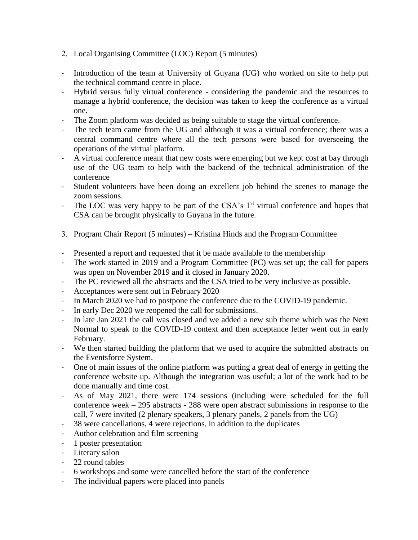- 2. Local Organising Committee (LOC) Report (5 minutes)
- Introduction of the team at University of Guyana (UG) who worked on site to help put the technical command centre in place.
- Hybrid versus fully virtual conference considering the pandemic and the resources to manage a hybrid conference, the decision was taken to keep the conference as a virtual one.
- The Zoom platform was decided as being suitable to stage the virtual conference.
- The tech team came from the UG and although it was a virtual conference; there was a central command centre where all the tech persons were based for overseeing the operations of the virtual platform.
- A virtual conference meant that new costs were emerging but we kept cost at bay through use of the UG team to help with the backend of the technical administration of the conference
- Student volunteers have been doing an excellent job behind the scenes to manage the zoom sessions.
- The LOC was very happy to be part of the CSA's  $1<sup>st</sup>$  virtual conference and hopes that CSA can be brought physically to Guyana in the future.
- 3. Program Chair Report (5 minutes) Kristina Hinds and the Program Committee
- Presented a report and requested that it be made available to the membership
- The work started in 2019 and a Program Committee (PC) was set up; the call for papers was open on November 2019 and it closed in January 2020.
- The PC reviewed all the abstracts and the CSA tried to be very inclusive as possible.
- Acceptances were sent out in February 2020
- In March 2020 we had to postpone the conference due to the COVID-19 pandemic.
- In early Dec 2020 we reopened the call for submissions.
- In late Jan 2021 the call was closed and we added a new sub theme which was the Next Normal to speak to the COVID-19 context and then acceptance letter went out in early February.
- We then started building the platform that we used to acquire the submitted abstracts on the Eventsforce System.
- One of main issues of the online platform was putting a great deal of energy in getting the conference website up. Although the integration was useful; a lot of the work had to be done manually and time cost.
- As of May 2021, there were 174 sessions (including were scheduled for the full conference week – 295 abstracts - 288 were open abstract submissions in response to the call, 7 were invited (2 plenary speakers, 3 plenary panels, 2 panels from the UG)
- 38 were cancellations, 4 were rejections, in addition to the duplicates
- Author celebration and film screening
- 1 poster presentation
- Literary salon
- 22 round tables
- 6 workshops and some were cancelled before the start of the conference
- The individual papers were placed into panels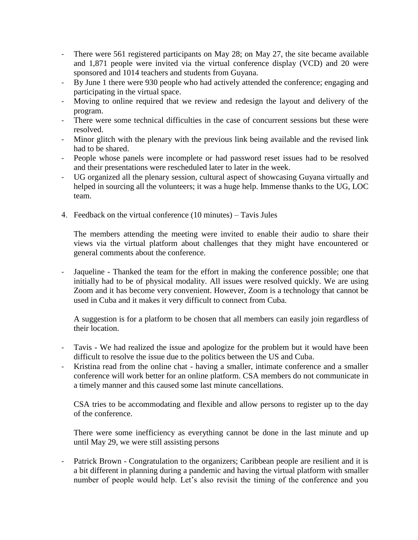- There were 561 registered participants on May 28; on May 27, the site became available and 1,871 people were invited via the virtual conference display (VCD) and 20 were sponsored and 1014 teachers and students from Guyana.
- By June 1 there were 930 people who had actively attended the conference; engaging and participating in the virtual space.
- Moving to online required that we review and redesign the layout and delivery of the program.
- There were some technical difficulties in the case of concurrent sessions but these were resolved.
- Minor glitch with the plenary with the previous link being available and the revised link had to be shared.
- People whose panels were incomplete or had password reset issues had to be resolved and their presentations were rescheduled later to later in the week.
- UG organized all the plenary session, cultural aspect of showcasing Guyana virtually and helped in sourcing all the volunteers; it was a huge help. Immense thanks to the UG, LOC team.
- 4. Feedback on the virtual conference (10 minutes) Tavis Jules

The members attending the meeting were invited to enable their audio to share their views via the virtual platform about challenges that they might have encountered or general comments about the conference.

Jaqueline - Thanked the team for the effort in making the conference possible; one that initially had to be of physical modality. All issues were resolved quickly. We are using Zoom and it has become very convenient. However, Zoom is a technology that cannot be used in Cuba and it makes it very difficult to connect from Cuba.

A suggestion is for a platform to be chosen that all members can easily join regardless of their location.

- Tavis We had realized the issue and apologize for the problem but it would have been difficult to resolve the issue due to the politics between the US and Cuba.
- Kristina read from the online chat having a smaller, intimate conference and a smaller conference will work better for an online platform. CSA members do not communicate in a timely manner and this caused some last minute cancellations.

CSA tries to be accommodating and flexible and allow persons to register up to the day of the conference.

There were some inefficiency as everything cannot be done in the last minute and up until May 29, we were still assisting persons

Patrick Brown - Congratulation to the organizers; Caribbean people are resilient and it is a bit different in planning during a pandemic and having the virtual platform with smaller number of people would help. Let's also revisit the timing of the conference and you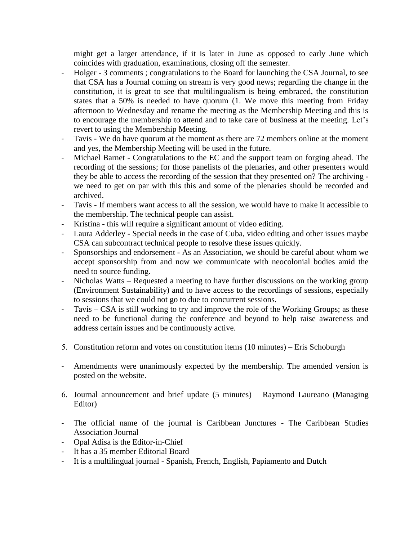might get a larger attendance, if it is later in June as opposed to early June which coincides with graduation, examinations, closing off the semester.

- Holger 3 comments ; congratulations to the Board for launching the CSA Journal, to see that CSA has a Journal coming on stream is very good news; regarding the change in the constitution, it is great to see that multilingualism is being embraced, the constitution states that a 50% is needed to have quorum (1. We move this meeting from Friday afternoon to Wednesday and rename the meeting as the Membership Meeting and this is to encourage the membership to attend and to take care of business at the meeting. Let's revert to using the Membership Meeting.
- Tavis We do have quorum at the moment as there are 72 members online at the moment and yes, the Membership Meeting will be used in the future.
- Michael Barnet Congratulations to the EC and the support team on forging ahead. The recording of the sessions; for those panelists of the plenaries, and other presenters would they be able to access the recording of the session that they presented on? The archiving we need to get on par with this this and some of the plenaries should be recorded and archived.
- Tavis If members want access to all the session, we would have to make it accessible to the membership. The technical people can assist.
- Kristina this will require a significant amount of video editing.
- Laura Adderley Special needs in the case of Cuba, video editing and other issues maybe CSA can subcontract technical people to resolve these issues quickly.
- Sponsorships and endorsement As an Association, we should be careful about whom we accept sponsorship from and now we communicate with neocolonial bodies amid the need to source funding.
- Nicholas Watts Requested a meeting to have further discussions on the working group (Environment Sustainability) and to have access to the recordings of sessions, especially to sessions that we could not go to due to concurrent sessions.
- Tavis CSA is still working to try and improve the role of the Working Groups; as these need to be functional during the conference and beyond to help raise awareness and address certain issues and be continuously active.
- 5. Constitution reform and votes on constitution items (10 minutes) Eris Schoburgh
- Amendments were unanimously expected by the membership. The amended version is posted on the website.
- 6. Journal announcement and brief update (5 minutes) Raymond Laureano (Managing Editor)
- The official name of the journal is Caribbean Junctures The Caribbean Studies Association Journal
- Opal Adisa is the Editor-in-Chief
- It has a 35 member Editorial Board
- It is a multilingual journal Spanish, French, English, Papiamento and Dutch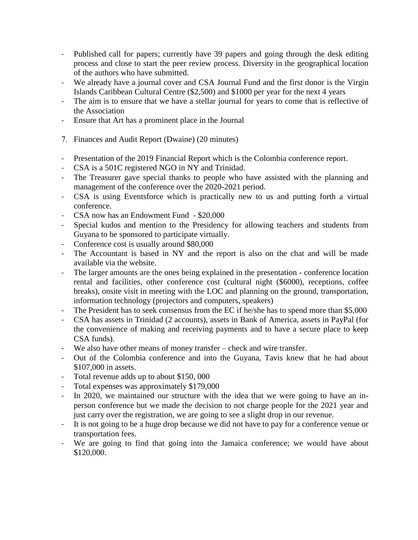- Published call for papers; currently have 39 papers and going through the desk editing process and close to start the peer review process. Diversity in the geographical location of the authors who have submitted.
- We already have a journal cover and CSA Journal Fund and the first donor is the Virgin Islands Caribbean Cultural Centre (\$2,500) and \$1000 per year for the next 4 years
- The aim is to ensure that we have a stellar journal for years to come that is reflective of the Association
- Ensure that Art has a prominent place in the Journal
- 7. Finances and Audit Report (Dwaine) (20 minutes)
- Presentation of the 2019 Financial Report which is the Colombia conference report.
- CSA is a 501C registered NGO in NY and Trinidad.
- The Treasurer gave special thanks to people who have assisted with the planning and management of the conference over the 2020-2021 period.
- CSA is using Eventsforce which is practically new to us and putting forth a virtual conference.
- CSA now has an Endowment Fund \$20,000
- Special kudos and mention to the Presidency for allowing teachers and students from Guyana to be sponsored to participate virtually.
- Conference cost is usually around \$80,000
- The Accountant is based in NY and the report is also on the chat and will be made available via the website.
- The larger amounts are the ones being explained in the presentation conference location rental and facilities, other conference cost (cultural night (\$6000), receptions, coffee breaks), onsite visit in meeting with the LOC and planning on the ground, transportation, information technology (projectors and computers, speakers)
- The President has to seek consensus from the EC if he/she has to spend more than \$5,000
- CSA has assets in Trinidad (2 accounts), assets in Bank of America, assets in PayPal (for the convenience of making and receiving payments and to have a secure place to keep CSA funds).
- We also have other means of money transfer check and wire transfer.
- Out of the Colombia conference and into the Guyana, Tavis knew that he had about \$107,000 in assets.
- Total revenue adds up to about \$150, 000
- Total expenses was approximately \$179,000
- In 2020, we maintained our structure with the idea that we were going to have an inperson conference but we made the decision to not charge people for the 2021 year and just carry over the registration, we are going to see a slight drop in our revenue.
- It is not going to be a huge drop because we did not have to pay for a conference venue or transportation fees.
- We are going to find that going into the Jamaica conference; we would have about \$120,000.